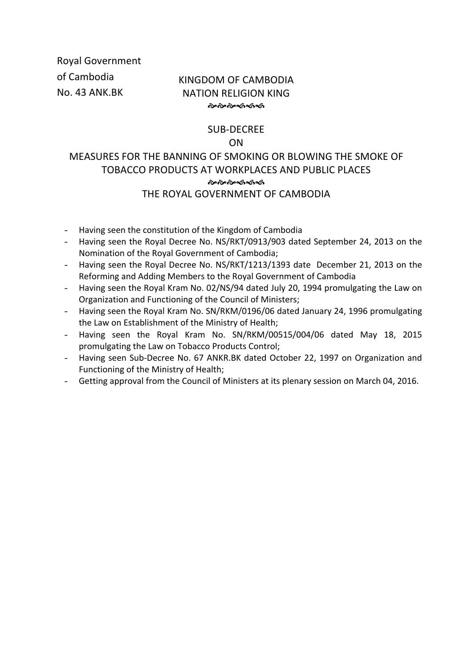Royal Government of Cambodia No. 43 ANK.BK

# KINGDOM OF CAMBODIA NATION RELIGION KING

# SUB-DECREE ON

# MEASURES FOR THE BANNING OF SMOKING OR BLOWING THE SMOKE OF TOBACCO PRODUCTS AT WORKPLACES AND PUBLIC PLACES ৻৵৻৵৻৵৽৻৽৻৽৻৽ THE ROYAL GOVERNMENT OF CAMBODIA

- Having seen the constitution of the Kingdom of Cambodia
- Having seen the Royal Decree No. NS/RKT/0913/903 dated September 24, 2013 on the Nomination of the Royal Government of Cambodia;
- Having seen the Royal Decree No. NS/RKT/1213/1393 date December 21, 2013 on the Reforming and Adding Members to the Royal Government of Cambodia
- Having seen the Royal Kram No. 02/NS/94 dated July 20, 1994 promulgating the Law on Organization and Functioning of the Council of Ministers;
- Having seen the Royal Kram No. SN/RKM/0196/06 dated January 24, 1996 promulgating the Law on Establishment of the Ministry of Health;
- Having seen the Royal Kram No. SN/RKM/00515/004/06 dated May 18, 2015 promulgating the Law on Tobacco Products Control;
- Having seen Sub-Decree No. 67 ANKR.BK dated October 22, 1997 on Organization and Functioning of the Ministry of Health;
- Getting approval from the Council of Ministers at its plenary session on March 04, 2016.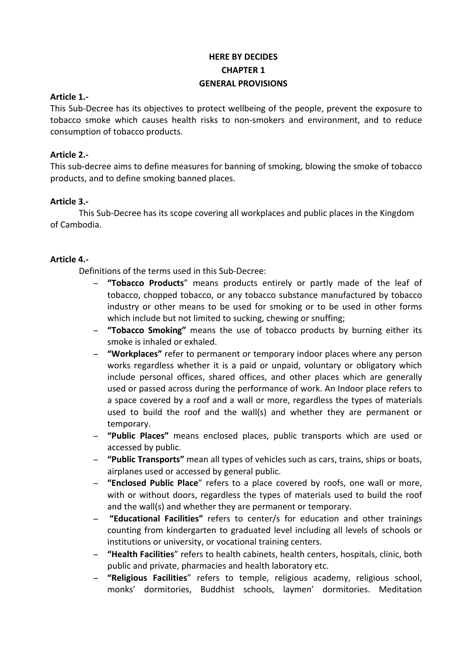# **HERE BY DECIDES CHAPTER 1 GENERAL PROVISIONS**

### **Article 1.-**

This Sub-Decree has its objectives to protect wellbeing of the people, prevent the exposure to tobacco smoke which causes health risks to non-smokers and environment, and to reduce consumption of tobacco products.

# **Article 2.-**

This sub-decree aims to define measures for banning of smoking, blowing the smoke of tobacco products, and to define smoking banned places.

# **Article 3.-**

This Sub-Decree has its scope covering all workplaces and public places in the Kingdom of Cambodia.

# **Article 4.-**

Definitions of the terms used in this Sub-Decree:

- − "Tobacco Products" means products entirely or partly made of the leaf of tobacco, chopped tobacco, or any tobacco substance manufactured by tobacco industry or other means to be used for smoking or to be used in other forms which include but not limited to sucking, chewing or snuffing;
- − **"Tobacco Smoking"** means the use of tobacco products by burning either its smoke is inhaled or exhaled.
- − **"Workplaces"** refer to permanent or temporary indoor places where any person works regardless whether it is a paid or unpaid, voluntary or obligatory which include personal offices, shared offices, and other places which are generally used or passed across during the performance of work. An Indoor place refers to a space covered by a roof and a wall or more, regardless the types of materials used to build the roof and the wall(s) and whether they are permanent or temporary.
- − **"Public Places"** means enclosed places, public transports which are used or accessed by public.
- − **"Public Transports"** mean all types of vehicles such as cars, trains, ships or boats, airplanes used or accessed by general public.
- − **"Enclosed Public Place**" refers to a place covered by roofs, one wall or more, with or without doors, regardless the types of materials used to build the roof and the wall(s) and whether they are permanent or temporary.
- − **"Educational Facilities"** refers to center/s for education and other trainings counting from kindergarten to graduated level including all levels of schools or institutions or university, or vocational training centers.
- − **"Health Facilities**" refers to health cabinets, health centers, hospitals, clinic, both public and private, pharmacies and health laboratory etc.
- − **"Religious Facilities**" refers to temple, religious academy, religious school, monks' dormitories, Buddhist schools, laymen' dormitories. Meditation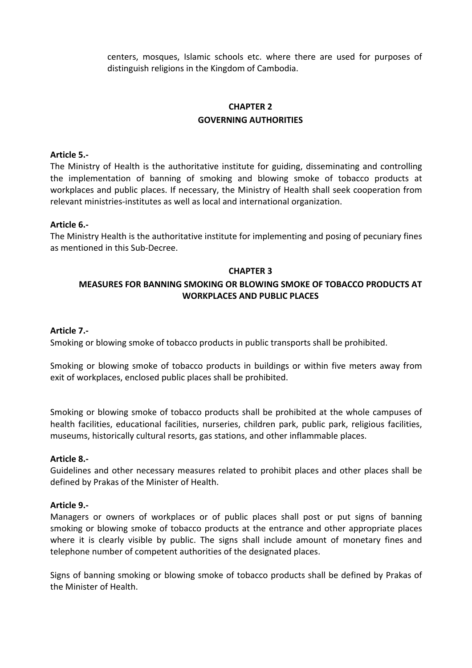centers, mosques, Islamic schools etc. where there are used for purposes of distinguish religions in the Kingdom of Cambodia.

# **CHAPTER 2 GOVERNING AUTHORITIES**

### **Article 5.-**

The Ministry of Health is the authoritative institute for guiding, disseminating and controlling the implementation of banning of smoking and blowing smoke of tobacco products at workplaces and public places. If necessary, the Ministry of Health shall seek cooperation from relevant ministries-institutes as well as local and international organization.

#### **Article 6.-**

The Ministry Health is the authoritative institute for implementing and posing of pecuniary fines as mentioned in this Sub-Decree.

#### **CHAPTER 3**

# **MEASURES FOR BANNING SMOKING OR BLOWING SMOKE OF TOBACCO PRODUCTS AT**  WORKPLACES AND PUBLIC PLACES

#### **Article 7.-**

Smoking or blowing smoke of tobacco products in public transports shall be prohibited.

Smoking or blowing smoke of tobacco products in buildings or within five meters away from exit of workplaces, enclosed public places shall be prohibited.

Smoking or blowing smoke of tobacco products shall be prohibited at the whole campuses of health facilities, educational facilities, nurseries, children park, public park, religious facilities, museums, historically cultural resorts, gas stations, and other inflammable places.

#### **Article 8.-**

Guidelines and other necessary measures related to prohibit places and other places shall be defined by Prakas of the Minister of Health.

#### **Article 9.-**

Managers or owners of workplaces or of public places shall post or put signs of banning smoking or blowing smoke of tobacco products at the entrance and other appropriate places where it is clearly visible by public. The signs shall include amount of monetary fines and telephone number of competent authorities of the designated places.

Signs of banning smoking or blowing smoke of tobacco products shall be defined by Prakas of the Minister of Health.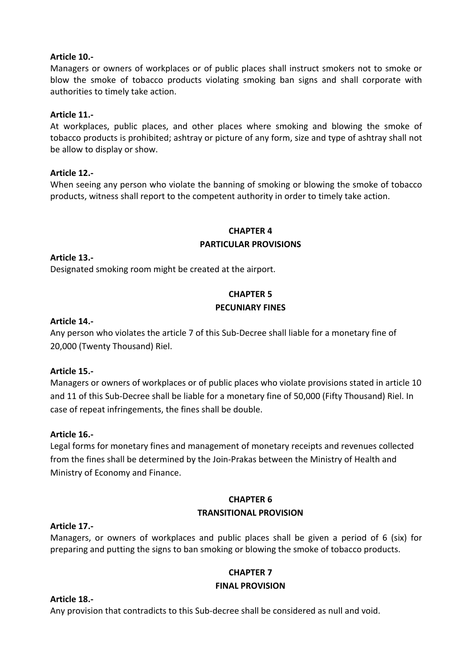# **Article 10.-**

Managers or owners of workplaces or of public places shall instruct smokers not to smoke or blow the smoke of tobacco products violating smoking ban signs and shall corporate with authorities to timely take action.

### **Article 11.-**

At workplaces, public places, and other places where smoking and blowing the smoke of tobacco products is prohibited; ashtray or picture of any form, size and type of ashtray shall not be allow to display or show.

# **Article 12.-**

When seeing any person who violate the banning of smoking or blowing the smoke of tobacco products, witness shall report to the competent authority in order to timely take action.

### **CHAPTER 4**

### **PARTICULAR PROVISIONS**

**Article 13.-**

Designated smoking room might be created at the airport.

# **CHAPTER 5 PECUNIARY FINES**

### **Article 14.-**

Any person who violates the article 7 of this Sub-Decree shall liable for a monetary fine of 20,000 (Twenty Thousand) Riel.

### **Article 15.-**

Managers or owners of workplaces or of public places who violate provisions stated in article 10 and 11 of this Sub-Decree shall be liable for a monetary fine of 50,000 (Fifty Thousand) Riel. In case of repeat infringements, the fines shall be double.

### **Article 16.-**

Legal forms for monetary fines and management of monetary receipts and revenues collected from the fines shall be determined by the Join-Prakas between the Ministry of Health and Ministry of Economy and Finance.

# **CHAPTER 6 TRANSITIONAL PROVISION**

### **Article 17.-**

Managers, or owners of workplaces and public places shall be given a period of 6 (six) for preparing and putting the signs to ban smoking or blowing the smoke of tobacco products.

# **CHAPTER 7 FINAL PROVISION**

### **Article 18.-**

Any provision that contradicts to this Sub-decree shall be considered as null and void.